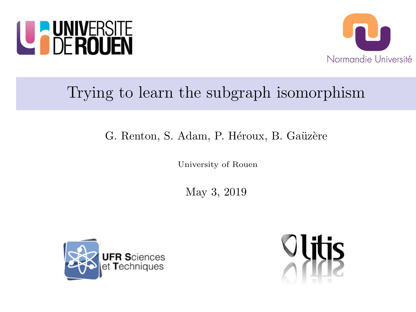



# Trying to learn the subgraph isomorphism

### G. Renton, S. Adam, P. Héroux, B. Gaüzère

University of Rouen

May 3, 2019



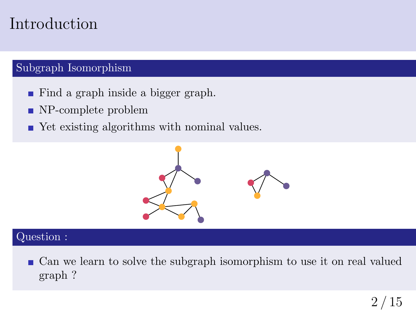## Introduction

### Subgraph Isomorphism

- Find a graph inside a bigger graph.
- NP-complete problem
- Yet existing algorithms with nominal values.



#### Question :

■ Can we learn to solve the subgraph isomorphism to use it on real valued graph ?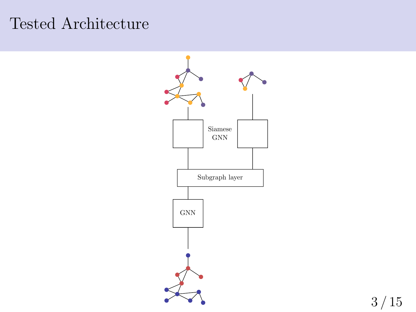## Tested Architecture

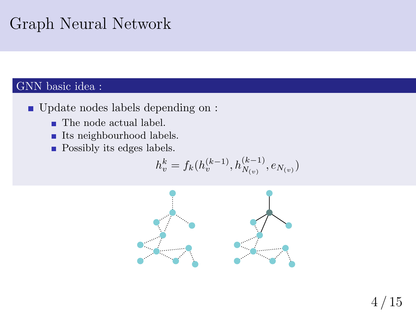# Graph Neural Network

### GNN basic idea :

- Update nodes labels depending on :
	- The node actual label.
	- **Its neighbourhood labels.**
	- $\blacksquare$  <br> Possibly its edges labels.

$$
h_v^k = f_k(h_v^{(k-1)}, h_{N_{(v)}}^{(k-1)}, e_{N_{(v)}})
$$

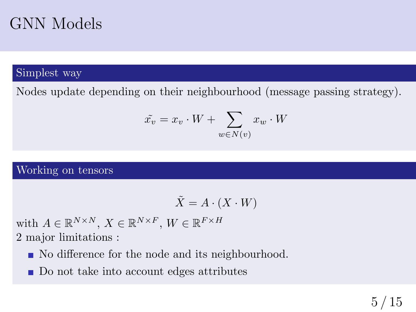## GNN Models

#### Simplest way

Nodes update depending on their neighbourhood (message passing strategy).

$$
\tilde{x_v} = x_v \cdot W + \sum_{w \in N(v)} x_w \cdot W
$$

#### Working on tensors

$$
\tilde{X} = A \cdot (X \cdot W)
$$

with  $A \in \mathbb{R}^{N \times N}$ ,  $X \in \mathbb{R}^{N \times F}$ ,  $W \in \mathbb{R}^{F \times H}$ 2 major limitations :

- No difference for the node and its neighbourhood.
- Do not take into account edges attributes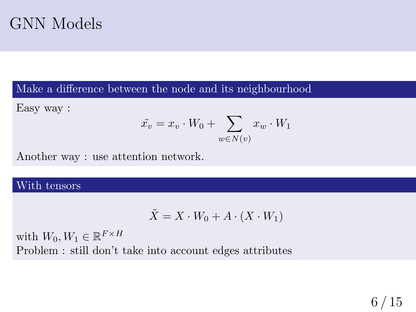## GNN Models

Make a difference between the node and its neighbourhood

Easy way :

$$
\tilde{x_v} = x_v \cdot W_0 + \sum_{w \in N(v)} x_w \cdot W_1
$$

Another way : use attention network.

#### With tensors

$$
\tilde{X} = X \cdot W_0 + A \cdot (X \cdot W_1)
$$

with  $W_0, W_1 \in \mathbb{R}^{F \times H}$ Problem : still don't take into account edges attributes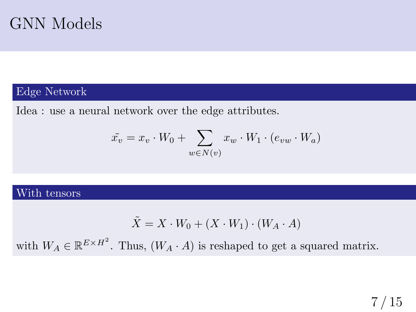

#### Edge Network

Idea : use a neural network over the edge attributes.

$$
\tilde{x_v} = x_v \cdot W_0 + \sum_{w \in N(v)} x_w \cdot W_1 \cdot (e_{vw} \cdot W_a)
$$

#### With tensors

$$
\tilde{X} = X \cdot W_0 + (X \cdot W_1) \cdot (W_A \cdot A)
$$

with  $W_A \in \mathbb{R}^{E \times H^2}$ . Thus,  $(W_A \cdot A)$  is reshaped to get a squared matrix.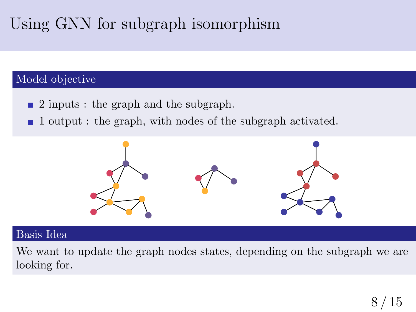# Using GNN for subgraph isomorphism

#### Model objective

- 2 inputs : the graph and the subgraph.
- 1 output : the graph, with nodes of the subgraph activated.  $\blacksquare$



#### Basis Idea

We want to update the graph nodes states, depending on the subgraph we are looking for.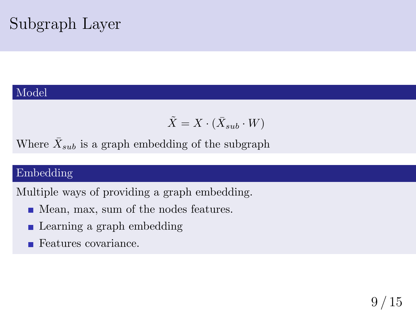# Subgraph Layer

#### Model

$$
\tilde{X} = X \cdot (\bar{X}_{sub} \cdot W)
$$

Where  $\bar{X}_{sub}$  is a graph embedding of the subgraph

### Embedding

Multiple ways of providing a graph embedding.

- Mean, max, sum of the nodes features.
- **Learning a graph embedding**
- Features covariance.  $\blacksquare$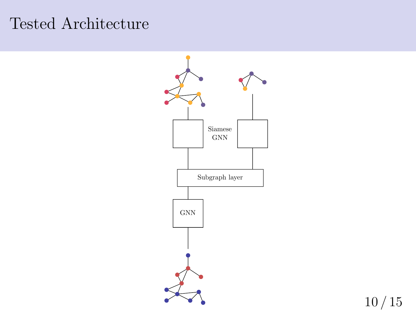## Tested Architecture

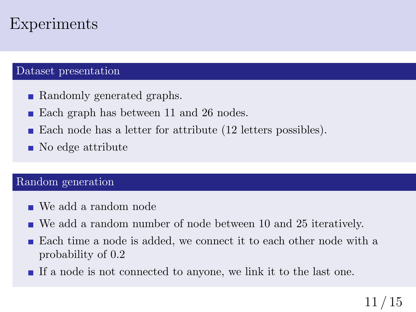## Experiments

#### Dataset presentation

- Randomly generated graphs.
- Each graph has between 11 and 26 nodes.
- Each node has a letter for attribute (12 letters possibles).
- No edge attribute

#### Random generation

- We add a random node
- We add a random number of node between 10 and 25 iteratively.
- Each time a node is added, we connect it to each other node with a probability of 0.2
- If a node is not connected to anyone, we link it to the last one.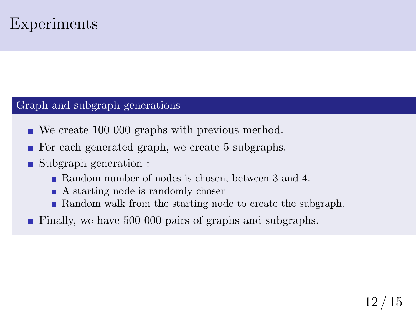### Experiments

#### Graph and subgraph generations

- We create 100 000 graphs with previous method.
- For each generated graph, we create 5 subgraphs.
- Subgraph generation :  $\mathbf{r}$ 
	- Random number of nodes is chosen, between 3 and 4.
	- A starting node is randomly chosen
	- **Random walk from the starting node to create the subgraph.**
- Finally, we have 500 000 pairs of graphs and subgraphs.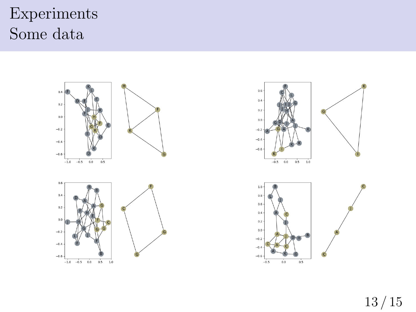# Experiments Some data

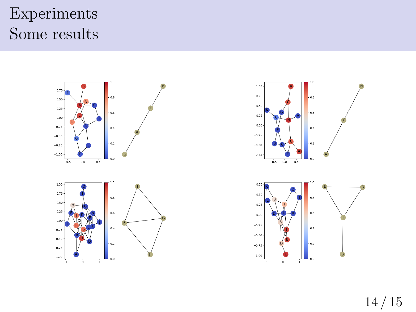# Experiments Some results